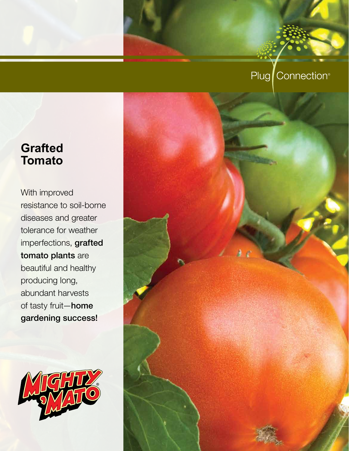# Plug Connection<sup>®</sup>

# **Grafted Tomato**

With improved resistance to soil-borne diseases and greater tolerance for weather imperfections, grafted tomato plants are beautiful and healthy producing long, abundant harvests of tasty fruit—home gardening success!



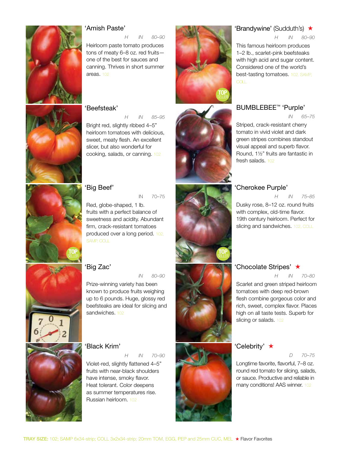

### 'Amish Paste'

*H IN 80–90*

Heirloom paste tomato produces tons of meaty 6–8 oz. red fruits one of the best for sauces and canning. Thrives in short summer areas. 102

### 'Beefsteak'

*H IN 85–95*

Bright red, slightly ribbed 4–5" heirloom tomatoes with delicious, sweet, meaty flesh. An excellent slicer, but also wonderful for cooking, salads, or canning. 102



'Big Beef'

IN 70–75

Red, globe-shaped, 1 lb. fruits with a perfect balance of sweetness and acidity. Abundant firm, crack-resistant tomatoes produced over a long period. 102, SAMP, COLL



'Big Zac'

 *IN 80–90*

Prize-winning variety has been known to produce fruits weighing up to 6 pounds. Huge, glossy red beefsteaks are ideal for slicing and sandwiches. 102

### 'Black Krim'

*H IN 70–90*

Violet-red, slightly flattened 4–5" fruits with near-black shoulders have intense, smoky flavor. Heat tolerant. Color deepens as summer temperatures rise. Russian heirloom. 102



### 'Brandywine' (Sudduth's) ★

*H IN 80–90*

This famous heirloom produces 1–2 lb., scarlet-pink beefsteaks with high acid and sugar content. Considered one of the world's best-tasting tomatoes. 102, SAMP,

### BUMBLEBEE<sup>™</sup> 'Purple'

 *in 65–75*

Striped, crack-resistant cherry tomato in vivid violet and dark green stripes combines standout visual appeal and superb flavor. Round, 1½" fruits are fantastic in fresh salads. 102

### 'Cherokee Purple'

*H IN 75–85*

Dusky rose, 8–12 oz. round fruits with complex, old-time flavor. 19th century heirloom. Perfect for slicing and sandwiches. 102, COLL

TOP SELLER



### 'Chocolate Stripes' ★ *H IN 70–80*

Scarlet and green striped heirloom tomatoes with deep red-brown

flesh combine gorgeous color and rich, sweet, complex flavor. Places high on all taste tests. Superb for slicing or salads. 102

### 'Celebrity' ★

### *D 70–75*

Longtime favorite, flavorful, 7–8 oz. round red tomato for slicing, salads, or sauce. Productive and reliable in many conditions! AAS winner. 102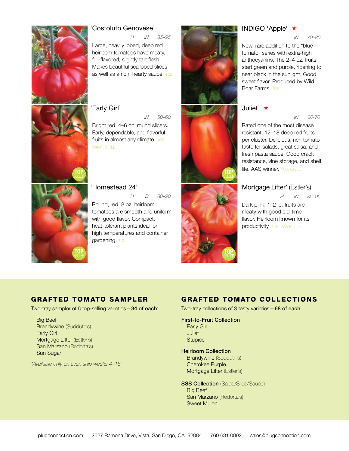

### 'Costoluto Genovese'

*H IN 85–95*

Large, heavily lobed, deep red heirloom tomatoes have meaty, full-flavored, slightly tart flesh. Makes beautiful scalloped slices as well as a rich, hearty sauce. 102

### 'Early Girl'

 *IN 50–60* Bright red, 4–6 oz. round slicers. Early, dependable, and flavorful fruits in almost any climate. 102, SAMP, COLL

# TOP SELLER

'Homestead 24' *H D 80–90* Round, red, 8 oz. heirloom tomatoes are smooth and uniform with good flavor. Compact, heat-tolerant plants ideal for high temperatures and container gardening. 102



### Indigo 'Apple' ★

 *IN 70–80*

New, rare addition to the "blue tomato" series with extra-high anthocyanins. The 2–4 oz. fruits start green and purple, ripening to near black in the sunlight. Good sweet flavor. Produced by Wild Boar Farms. 102

### 'Juliet' ★

 *in 60-70*

Rated one of the most disease resistant. 12–18 deep red fruits per cluster. Delicious, rich tomato taste for salads, great salsa, and fresh pasta sauce. Good crack resistance, vine storage, and shelf life. AAS winner. 102, COLL

### 'Mortgage Lifter' (Estler's)

*H IN 85–95*

Dark pink, 1–2 lb. fruits are meaty with good old-time flavor. Heirloom known for its productivity. 102, SAMP, COLL

### GRAFTED TOMATO SAMPLER

Two-tray sampler of 6 top-selling varieties - 34 of each\*

Big Beef Brandywine (Sudduth's) Early Girl Mortgage Lifter (Estler's) San Marzano (Redorta's) Sun Sugar

*\*Available only on even ship weeks 4–16*

### GRAFTED TOMATO COLLECTIONS

Two-tray collections of 3 tasty varieties - 68 of each

### First-to-Fruit Collection

Early Girl Juliet **Stupice** 

### Heirloom Collection

Brandywine (Sudduth's) Cherokee Purple Mortgage Lifter (Estler's)

**SSS Collection** (Salad/Slice/Sauce) Big Beef San Marzano (Redorta's) Sweet Million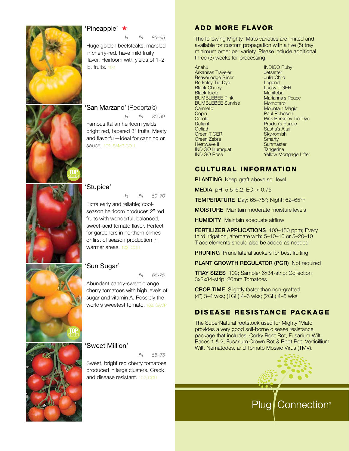

### 'Pineapple' ★

*H IN 85–95*

Huge golden beefsteaks, marbled in cherry-red, have mild fruity flavor. Heirloom with yields of 1–2 lb. fruits. 102

### 'San Marzano' (Redorta's)

*H IN 80-90* Famous Italian heirloom yields bright red, tapered 3" fruits. Meaty and flavorful—ideal for canning or sauce. 102, SAMP, COLL



### 'Stupice'

TOP SELLER

*H IN 60–70*

Extra early and reliable; coolseason heirloom produces 2" red fruits with wonderful, balanced, sweet-acid tomato flavor. Perfect for gardeners in northern climes or first of season production in warmer areas. 102, COLL

### 'Sun Sugar'

 *in 65-75*

Abundant candy-sweet orange cherry tomatoes with high levels of sugar and vitamin A. Possibly the world's sweetest tomato, 102, SAMP

### 'Sweet Million'

*IN 65–75*

Sweet, bright red cherry tomatoes produced in large clusters. Crack and disease resistant. 102, COLL

### ADD MORE FLAVOR

The following Mighty 'Mato varieties are limited and available for custom propagation with a five (5) tray minimum order per variety. Please include additional three (3) weeks for processing.

Anahu Arkansas Traveler Beaverlodge Slicer Berkeley Tie-Dye Black Cherry Black Icicle BUMBLEBEE Pink BUMBLEBEE Sunrise **Carmello Copia Creole Defiant Goliath** Green TIGER Green Zebra Heatwave II INDIGO Kumquat INDIGO Rose

INDIGO Ruby **Jetsetter** Julia Child Legend Lucky TIGER Manitoba Marianna's Peace Momotaro Mountain Magic Paul Robeson Pink Berkeley Tie-Dye Pruden's Purple Sasha's Altai **Skykomish Smarty Sunmaster Tangerine** Yellow Mortgage Lifter

### Cultural Information

**PLANTING** Keep graft above soil level

MEDIA pH: 5.5–6.2; EC: < 0.75

TEMPERATURE Day: 65–75°; Night: 62–65°F

MOISTURE Maintain moderate moisture levels

**HUMIDITY** Maintain adequate airflow

FERTILIZER APPLICATIONS 100-150 ppm; Every third irrigation, alternate with: 5–10–10 or 5–20–10 Trace elements should also be added as needed

**PRUNING** Prune lateral suckers for best fruiting

PLANT GROWTH REGULATOR (PGR) Not required

TRAY SIZES 102; Sampler 6x34-strip; Collection 3x2x34-strip; 20mm Tomatoes

CROP TIME Slightly faster than non-grafted (4") 3–4 wks; (1GL) 4–6 wks; (2GL) 4–6 wks

### DISEASE RESISTANCE PACKAGE

The SuperNatural rootstock used for Mighty 'Mato provides a very good soil-borne disease resistance package that includes: Corky Root Rot, Fusarium Wilt Races 1 & 2, Fusarium Crown Rot & Root Rot, Verticillium Wilt, Nematodes, and Tomato Mosaic Virus (TMV).



Plug Connection<sup>®</sup>



TOP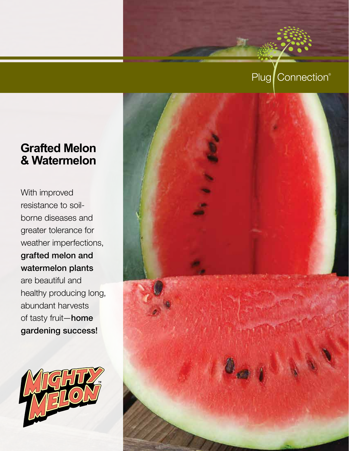# Plug Connection®

# **Grafted Melon & Watermelon**

With improved resistance to soilborne diseases and greater tolerance for weather imperfections, grafted melon and watermelon plants are beautiful and healthy producing long, abundant harvests of tasty fruit—home gardening success!



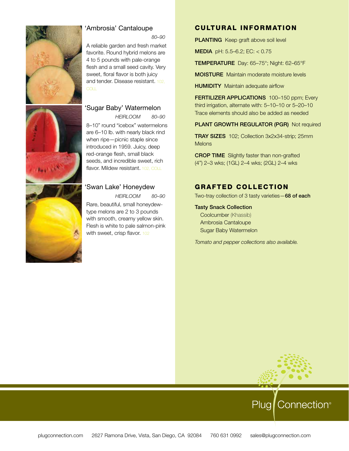

### 'Ambrosia' Cantaloupe

 *80–90*

A reliable garden and fresh market favorite. Round hybrid melons are 4 to 5 pounds with pale-orange flesh and a small seed cavity. Very sweet, floral flavor is both juicy and tender. Disease resistant. 102,

### 'Sugar Baby' Watermelon

*heirloom 80–90* 8–10" round "icebox" watermelons are 6–10 lb. with nearly black rind when ripe—picnic staple since introduced in 1959. Juicy, deep red-orange flesh, small black seeds, and incredible sweet, rich flavor. Mildew resistant. 102, COLL

### 'Swan Lake' Honeydew

*heirloom 80–90* Rare, beautiful, small honeydewtype melons are 2 to 3 pounds with smooth, creamy yellow skin. Flesh is white to pale salmon-pink with sweet, crisp flavor. 102

### Cultural Information

**PLANTING** Keep graft above soil level

MEDIA pH: 5.5–6.2; EC: < 0.75

TEMPERATURE Day: 65–75°; Night: 62–65°F

MOISTURE Maintain moderate moisture levels

**HUMIDITY** Maintain adequate airflow

FERTILIZER APPLICATIONS 100-150 ppm; Every third irrigation, alternate with: 5–10–10 or 5–20–10 Trace elements should also be added as needed

PLANT GROWTH REGULATOR (PGR) Not required

TRAY SIZES 102; Collection 3x2x34-strip; 25mm **Melons** 

CROP TIME Slightly faster than non-grafted (4") 2–3 wks; (1GL) 2–4 wks; (2GL) 2–4 wks

### GRAFTED COLLECTION

Two-tray collection of 3 tasty varieties - 68 of each

Tasty Snack Collection Coolcumber (Khassib) Ambrosia Cantaloupe

Sugar Baby Watermelon

*Tomato and pepper collections also available.*

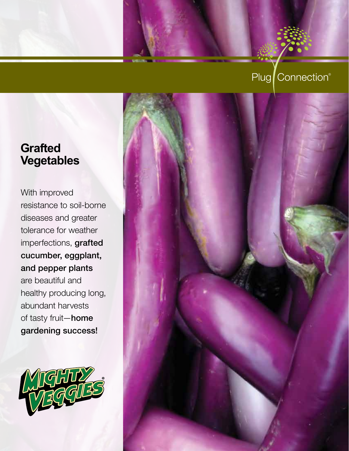# Plug Connection®

# **Grafted Vegetables**

With improved resistance to soil-borne diseases and greater tolerance for weather imperfections, grafted cucumber, eggplant, and pepper plants are beautiful and healthy producing long, abundant harvests of tasty fruit—home gardening success!